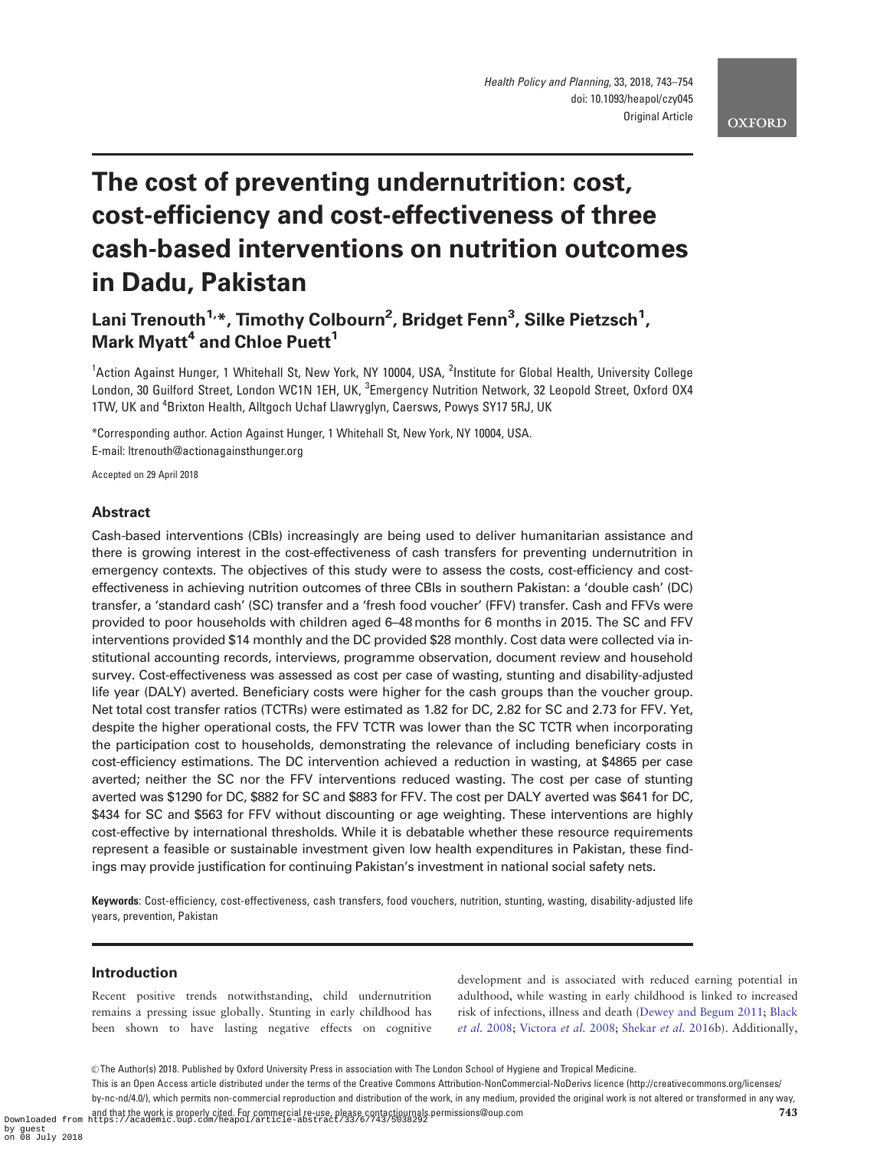# The cost of preventing undernutrition: cost, cost-efficiency and cost-effectiveness of three cash-based interventions on nutrition outcomes in Dadu, Pakistan

# Lani Trenouth<sup>1,</sup>\*, Timothy Colbourn<sup>2</sup>, Bridget Fenn<sup>3</sup>, Silke Pietzsch<sup>1</sup>, Mark Myatt<sup>4</sup> and Chloe Puett<sup>1</sup>

<sup>1</sup>Action Against Hunger, 1 Whitehall St, New York, NY 10004, USA, <sup>2</sup>Institute for Global Health, University College London, 30 Guilford Street, London WC1N 1EH, UK, <sup>3</sup>Emergency Nutrition Network, 32 Leopold Street, Oxford OX4 1TW, UK and <sup>4</sup>Brixton Health, Alltgoch Uchaf Llawryglyn, Caersws, Powys SY17 5RJ, UK

\*Corresponding author. Action Against Hunger, 1 Whitehall St, New York, NY 10004, USA. E-mail: ltrenouth@actionagainsthunger.org

Accepted on 29 April 2018

# Abstract

Cash-based interventions (CBIs) increasingly are being used to deliver humanitarian assistance and there is growing interest in the cost-effectiveness of cash transfers for preventing undernutrition in emergency contexts. The objectives of this study were to assess the costs, cost-efficiency and costeffectiveness in achieving nutrition outcomes of three CBIs in southern Pakistan: a 'double cash' (DC) transfer, a 'standard cash' (SC) transfer and a 'fresh food voucher' (FFV) transfer. Cash and FFVs were provided to poor households with children aged 6–48months for 6 months in 2015. The SC and FFV interventions provided \$14 monthly and the DC provided \$28 monthly. Cost data were collected via institutional accounting records, interviews, programme observation, document review and household survey. Cost-effectiveness was assessed as cost per case of wasting, stunting and disability-adjusted life year (DALY) averted. Beneficiary costs were higher for the cash groups than the voucher group. Net total cost transfer ratios (TCTRs) were estimated as 1.82 for DC, 2.82 for SC and 2.73 for FFV. Yet, despite the higher operational costs, the FFV TCTR was lower than the SC TCTR when incorporating the participation cost to households, demonstrating the relevance of including beneficiary costs in cost-efficiency estimations. The DC intervention achieved a reduction in wasting, at \$4865 per case averted; neither the SC nor the FFV interventions reduced wasting. The cost per case of stunting averted was \$1290 for DC, \$882 for SC and \$883 for FFV. The cost per DALY averted was \$641 for DC, \$434 for SC and \$563 for FFV without discounting or age weighting. These interventions are highly cost-effective by international thresholds. While it is debatable whether these resource requirements represent a feasible or sustainable investment given low health expenditures in Pakistan, these findings may provide justification for continuing Pakistan's investment in national social safety nets.

Keywords: Cost-efficiency, cost-effectiveness, cash transfers, food vouchers, nutrition, stunting, wasting, disability-adjusted life years, prevention, Pakistan

# Introduction

Recent positive trends notwithstanding, child undernutrition remains a pressing issue globally. Stunting in early childhood has been shown to have lasting negative effects on cognitive development and is associated with reduced earning potential in adulthood, while wasting in early childhood is linked to increased risk of infections, illness and death ([Dewey and Begum 2011](#page-10-0); [Black](#page-10-0) et al. [2008;](#page-10-0) [Victora](#page-11-0) et al. 2008; [Shekar](#page-11-0) et al. 2016b). Additionally,

This is an Open Access article distributed under the terms of the Creative Commons Attribution-NonCommercial-NoDerivs licence (http://creativecommons.org/licenses/ by-nc-nd/4.0/), which permits non-commercial reproduction and distribution of the work, in any medium, provided the original work is not altered or transformed in any way, and that the work is properly cited. For commercial re-use, please contactjournals.permissions@oup.com and that the work is properly cited. For commercial re-use, please contactiournals.permissions@oup.com and that the wor

<sup>©</sup> The Author(s) 2018. Published by Oxford University Press in association with The London School of Hygiene and Tropical Medicine.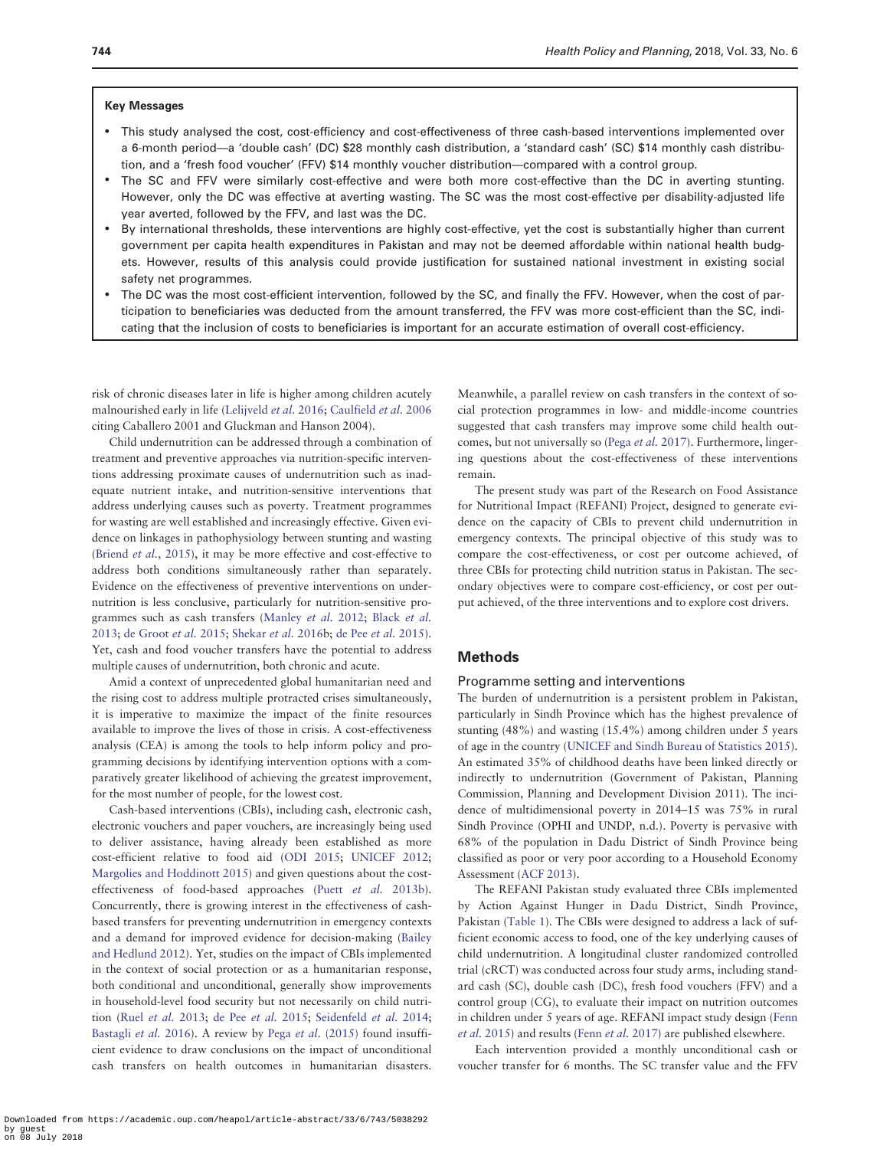### Key Messages

- This study analysed the cost, cost-efficiency and cost-effectiveness of three cash-based interventions implemented over a 6-month period—a 'double cash' (DC) \$28 monthly cash distribution, a 'standard cash' (SC) \$14 monthly cash distribution, and a 'fresh food voucher' (FFV) \$14 monthly voucher distribution—compared with a control group.
- The SC and FFV were similarly cost-effective and were both more cost-effective than the DC in averting stunting. However, only the DC was effective at averting wasting. The SC was the most cost-effective per disability-adjusted life year averted, followed by the FFV, and last was the DC.
- By international thresholds, these interventions are highly cost-effective, yet the cost is substantially higher than current government per capita health expenditures in Pakistan and may not be deemed affordable within national health budgets. However, results of this analysis could provide justification for sustained national investment in existing social safety net programmes.
- The DC was the most cost-efficient intervention, followed by the SC, and finally the FFV. However, when the cost of participation to beneficiaries was deducted from the amount transferred, the FFV was more cost-efficient than the SC, indicating that the inclusion of costs to beneficiaries is important for an accurate estimation of overall cost-efficiency.

risk of chronic diseases later in life is higher among children acutely malnourished early in life [\(Lelijveld](#page-10-0) et al. 2016; [Caulfield](#page-10-0) et al. 2006 citing Caballero 2001 and Gluckman and Hanson 2004).

Child undernutrition can be addressed through a combination of treatment and preventive approaches via nutrition-specific interventions addressing proximate causes of undernutrition such as inadequate nutrient intake, and nutrition-sensitive interventions that address underlying causes such as poverty. Treatment programmes for wasting are well established and increasingly effective. Given evidence on linkages in pathophysiology between stunting and wasting ([Briend](#page-10-0) et al., 2015), it may be more effective and cost-effective to address both conditions simultaneously rather than separately. Evidence on the effectiveness of preventive interventions on undernutrition is less conclusive, particularly for nutrition-sensitive programmes such as cash transfers [\(Manley](#page-10-0) et al. 2012; [Black](#page-10-0) et al. [2013;](#page-10-0) [de Groot](#page-10-0) et al. 2015; [Shekar](#page-11-0) et al. 2016b; [de Pee](#page-10-0) et al. 2015). Yet, cash and food voucher transfers have the potential to address multiple causes of undernutrition, both chronic and acute.

Amid a context of unprecedented global humanitarian need and the rising cost to address multiple protracted crises simultaneously, it is imperative to maximize the impact of the finite resources available to improve the lives of those in crisis. A cost-effectiveness analysis (CEA) is among the tools to help inform policy and programming decisions by identifying intervention options with a comparatively greater likelihood of achieving the greatest improvement, for the most number of people, for the lowest cost.

Cash-based interventions (CBIs), including cash, electronic cash, electronic vouchers and paper vouchers, are increasingly being used to deliver assistance, having already been established as more cost-efficient relative to food aid ([ODI 2015](#page-10-0); [UNICEF 2012;](#page-11-0) [Margolies and Hoddinott 2015](#page-10-0)) and given questions about the costeffectiveness of food-based approaches (Puett et al. [2013b](#page-11-0)). Concurrently, there is growing interest in the effectiveness of cashbased transfers for preventing undernutrition in emergency contexts and a demand for improved evidence for decision-making [\(Bailey](#page-10-0) [and Hedlund 2012\)](#page-10-0). Yet, studies on the impact of CBIs implemented in the context of social protection or as a humanitarian response, both conditional and unconditional, generally show improvements in household-level food security but not necessarily on child nutrition (Ruel [et al.](#page-11-0) 2013; [de Pee](#page-10-0) et al. 2015; [Seidenfeld](#page-11-0) et al. 2014; [Bastagli](#page-10-0) et al. 2016). A review by Pega et al. [\(2015\)](#page-10-0) found insufficient evidence to draw conclusions on the impact of unconditional cash transfers on health outcomes in humanitarian disasters.

Meanwhile, a parallel review on cash transfers in the context of social protection programmes in low- and middle-income countries suggested that cash transfers may improve some child health outcomes, but not universally so (Pega et al. [2017\)](#page-11-0). Furthermore, lingering questions about the cost-effectiveness of these interventions remain.

The present study was part of the Research on Food Assistance for Nutritional Impact (REFANI) Project, designed to generate evidence on the capacity of CBIs to prevent child undernutrition in emergency contexts. The principal objective of this study was to compare the cost-effectiveness, or cost per outcome achieved, of three CBIs for protecting child nutrition status in Pakistan. The secondary objectives were to compare cost-efficiency, or cost per output achieved, of the three interventions and to explore cost drivers.

# Methods

### Programme setting and interventions

The burden of undernutrition is a persistent problem in Pakistan, particularly in Sindh Province which has the highest prevalence of stunting (48%) and wasting (15.4%) among children under 5 years of age in the country [\(UNICEF and Sindh Bureau of Statistics 2015](#page-11-0)). An estimated 35% of childhood deaths have been linked directly or indirectly to undernutrition (Government of Pakistan, Planning Commission, Planning and Development Division 2011). The incidence of multidimensional poverty in 2014–15 was 75% in rural Sindh Province (OPHI and UNDP, n.d.). Poverty is pervasive with 68% of the population in Dadu District of Sindh Province being classified as poor or very poor according to a Household Economy Assessment ([ACF 2013](#page-10-0)).

The REFANI Pakistan study evaluated three CBIs implemented by Action Against Hunger in Dadu District, Sindh Province, Pakistan [\(Table 1](#page-2-0)). The CBIs were designed to address a lack of sufficient economic access to food, one of the key underlying causes of child undernutrition. A longitudinal cluster randomized controlled trial (cRCT) was conducted across four study arms, including standard cash (SC), double cash (DC), fresh food vouchers (FFV) and a control group (CG), to evaluate their impact on nutrition outcomes in children under 5 years of age. REFANI impact study design [\(Fenn](#page-10-0) et al. [2015](#page-10-0)) and results (Fenn et al. [2017\)](#page-10-0) are published elsewhere.

Each intervention provided a monthly unconditional cash or voucher transfer for 6 months. The SC transfer value and the FFV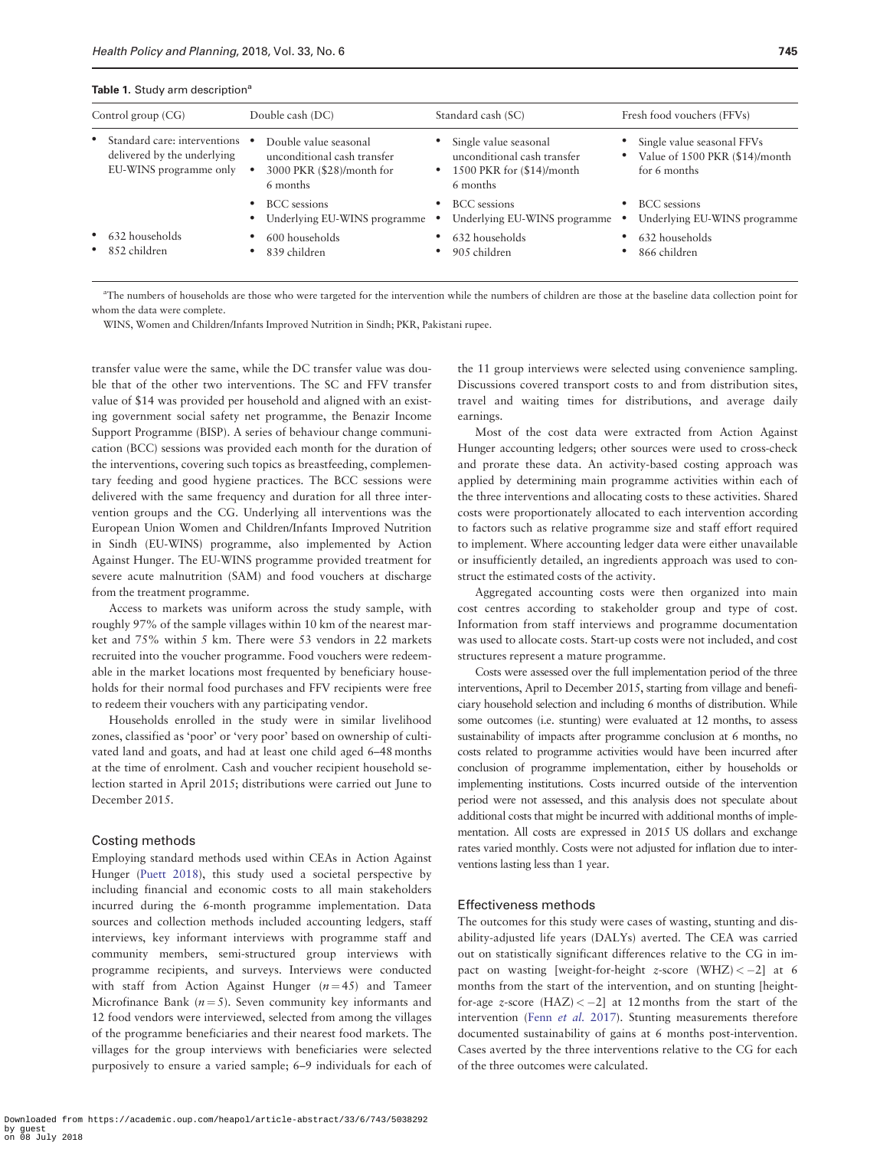<span id="page-2-0"></span>

| Control group $(CG)$ |                                                                                         | Double cash (DC)                                                                              | Standard cash (SC)                                                                            | Fresh food vouchers (FFVs)                                                   |  |
|----------------------|-----------------------------------------------------------------------------------------|-----------------------------------------------------------------------------------------------|-----------------------------------------------------------------------------------------------|------------------------------------------------------------------------------|--|
|                      | • Standard care: interventions<br>delivered by the underlying<br>EU-WINS programme only | Double value seasonal<br>unconditional cash transfer<br>3000 PKR (\$28)/month for<br>6 months | Single value seasonal<br>unconditional cash transfer<br>1500 PKR for (\$14)/month<br>6 months | Single value seasonal FFVs<br>Value of 1500 PKR (\$14)/month<br>for 6 months |  |
|                      |                                                                                         | <b>BCC</b> sessions<br>Underlying EU-WINS programme .                                         | <b>BCC</b> sessions<br>Underlying EU-WINS programme                                           | <b>BCC</b> sessions<br>Underlying EU-WINS programme<br>٠                     |  |
|                      | • 632 households<br>• 852 children                                                      | 600 households<br>839 children                                                                | 632 households<br>905 children                                                                | 632 households<br>866 children                                               |  |

a The numbers of households are those who were targeted for the intervention while the numbers of children are those at the baseline data collection point for whom the data were complete.

WINS, Women and Children/Infants Improved Nutrition in Sindh; PKR, Pakistani rupee.

transfer value were the same, while the DC transfer value was double that of the other two interventions. The SC and FFV transfer value of \$14 was provided per household and aligned with an existing government social safety net programme, the Benazir Income Support Programme (BISP). A series of behaviour change communication (BCC) sessions was provided each month for the duration of the interventions, covering such topics as breastfeeding, complementary feeding and good hygiene practices. The BCC sessions were delivered with the same frequency and duration for all three intervention groups and the CG. Underlying all interventions was the European Union Women and Children/Infants Improved Nutrition in Sindh (EU-WINS) programme, also implemented by Action Against Hunger. The EU-WINS programme provided treatment for severe acute malnutrition (SAM) and food vouchers at discharge from the treatment programme.

Access to markets was uniform across the study sample, with roughly 97% of the sample villages within 10 km of the nearest market and 75% within 5 km. There were 53 vendors in 22 markets recruited into the voucher programme. Food vouchers were redeemable in the market locations most frequented by beneficiary households for their normal food purchases and FFV recipients were free to redeem their vouchers with any participating vendor.

Households enrolled in the study were in similar livelihood zones, classified as 'poor' or 'very poor' based on ownership of cultivated land and goats, and had at least one child aged 6–48 months at the time of enrolment. Cash and voucher recipient household selection started in April 2015; distributions were carried out June to December 2015.

### Costing methods

Employing standard methods used within CEAs in Action Against Hunger ([Puett 2018\)](#page-11-0), this study used a societal perspective by including financial and economic costs to all main stakeholders incurred during the 6-month programme implementation. Data sources and collection methods included accounting ledgers, staff interviews, key informant interviews with programme staff and community members, semi-structured group interviews with programme recipients, and surveys. Interviews were conducted with staff from Action Against Hunger  $(n=45)$  and Tameer Microfinance Bank ( $n = 5$ ). Seven community key informants and 12 food vendors were interviewed, selected from among the villages of the programme beneficiaries and their nearest food markets. The villages for the group interviews with beneficiaries were selected purposively to ensure a varied sample; 6–9 individuals for each of the 11 group interviews were selected using convenience sampling. Discussions covered transport costs to and from distribution sites, travel and waiting times for distributions, and average daily earnings.

Most of the cost data were extracted from Action Against Hunger accounting ledgers; other sources were used to cross-check and prorate these data. An activity-based costing approach was applied by determining main programme activities within each of the three interventions and allocating costs to these activities. Shared costs were proportionately allocated to each intervention according to factors such as relative programme size and staff effort required to implement. Where accounting ledger data were either unavailable or insufficiently detailed, an ingredients approach was used to construct the estimated costs of the activity.

Aggregated accounting costs were then organized into main cost centres according to stakeholder group and type of cost. Information from staff interviews and programme documentation was used to allocate costs. Start-up costs were not included, and cost structures represent a mature programme.

Costs were assessed over the full implementation period of the three interventions, April to December 2015, starting from village and beneficiary household selection and including 6 months of distribution. While some outcomes (i.e. stunting) were evaluated at 12 months, to assess sustainability of impacts after programme conclusion at 6 months, no costs related to programme activities would have been incurred after conclusion of programme implementation, either by households or implementing institutions. Costs incurred outside of the intervention period were not assessed, and this analysis does not speculate about additional costs that might be incurred with additional months of implementation. All costs are expressed in 2015 US dollars and exchange rates varied monthly. Costs were not adjusted for inflation due to interventions lasting less than 1 year.

# Effectiveness methods

The outcomes for this study were cases of wasting, stunting and disability-adjusted life years (DALYs) averted. The CEA was carried out on statistically significant differences relative to the CG in impact on wasting [weight-for-height *z*-score  $(WHZ) < -2$ ] at 6 months from the start of the intervention, and on stunting [heightfor-age *z*-score  $(HAZ) < -2$ ] at 12 months from the start of the intervention (Fenn [et al.](#page-10-0) 2017). Stunting measurements therefore documented sustainability of gains at 6 months post-intervention. Cases averted by the three interventions relative to the CG for each of the three outcomes were calculated.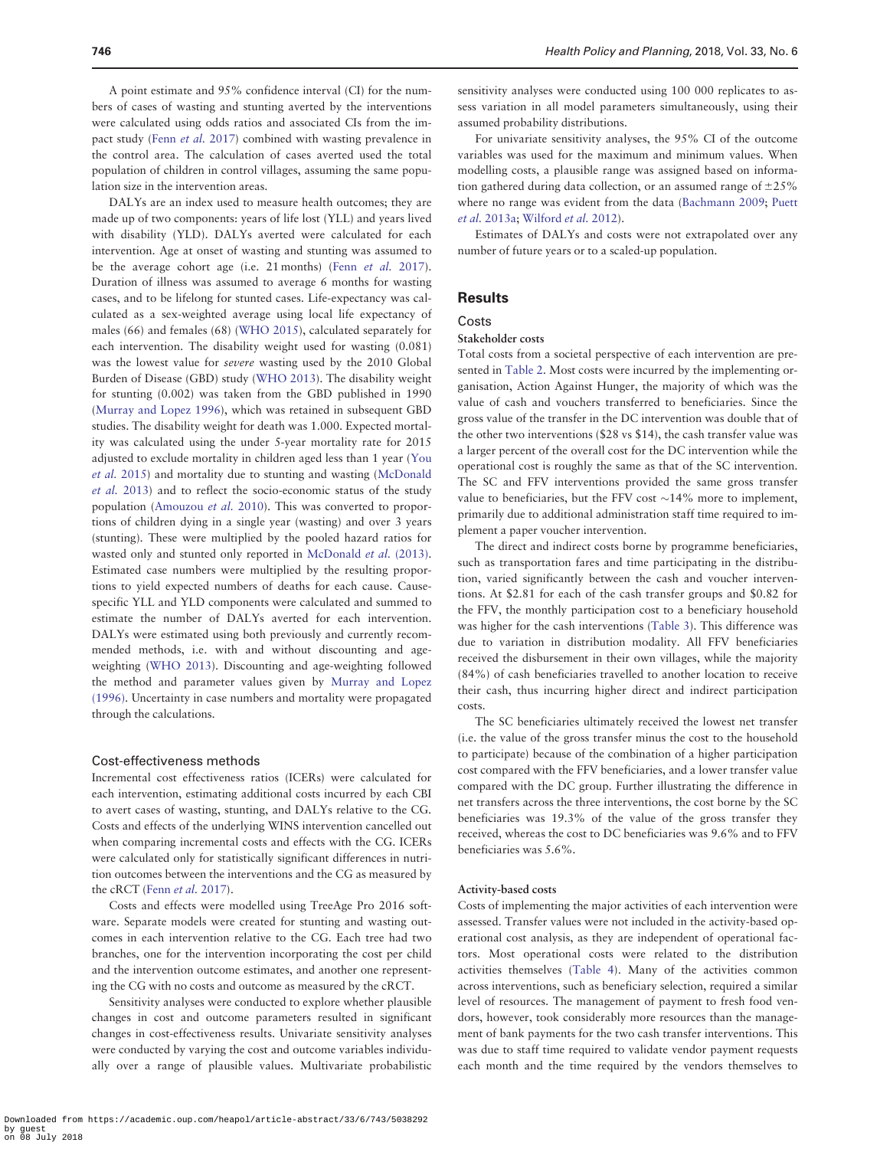A point estimate and 95% confidence interval (CI) for the numbers of cases of wasting and stunting averted by the interventions were calculated using odds ratios and associated CIs from the impact study (Fenn et al. [2017\)](#page-10-0) combined with wasting prevalence in the control area. The calculation of cases averted used the total population of children in control villages, assuming the same population size in the intervention areas.

DALYs are an index used to measure health outcomes; they are made up of two components: years of life lost (YLL) and years lived with disability (YLD). DALYs averted were calculated for each intervention. Age at onset of wasting and stunting was assumed to be the average cohort age (i.e. 21 months) (Fenn [et al.](#page-10-0) 2017). Duration of illness was assumed to average 6 months for wasting cases, and to be lifelong for stunted cases. Life-expectancy was calculated as a sex-weighted average using local life expectancy of males (66) and females (68) [\(WHO 2015\)](#page-11-0), calculated separately for each intervention. The disability weight used for wasting (0.081) was the lowest value for severe wasting used by the 2010 Global Burden of Disease (GBD) study [\(WHO 2013](#page-11-0)). The disability weight for stunting (0.002) was taken from the GBD published in 1990 ([Murray and Lopez 1996\)](#page-10-0), which was retained in subsequent GBD studies. The disability weight for death was 1.000. Expected mortality was calculated using the under 5-year mortality rate for 2015 adjusted to exclude mortality in children aged less than 1 year ([You](#page-11-0) et al. [2015](#page-11-0)) and mortality due to stunting and wasting ([McDonald](#page-10-0) [et al.](#page-10-0) 2013) and to reflect the socio-economic status of the study population [\(Amouzou](#page-10-0) et al. 2010). This was converted to proportions of children dying in a single year (wasting) and over 3 years (stunting). These were multiplied by the pooled hazard ratios for wasted only and stunted only reported in [McDonald](#page-10-0) et al. (2013). Estimated case numbers were multiplied by the resulting proportions to yield expected numbers of deaths for each cause. Causespecific YLL and YLD components were calculated and summed to estimate the number of DALYs averted for each intervention. DALYs were estimated using both previously and currently recommended methods, i.e. with and without discounting and ageweighting [\(WHO 2013\)](#page-11-0). Discounting and age-weighting followed the method and parameter values given by [Murray and Lopez](#page-10-0) [\(1996\)](#page-10-0). Uncertainty in case numbers and mortality were propagated through the calculations.

### Cost-effectiveness methods

Incremental cost effectiveness ratios (ICERs) were calculated for each intervention, estimating additional costs incurred by each CBI to avert cases of wasting, stunting, and DALYs relative to the CG. Costs and effects of the underlying WINS intervention cancelled out when comparing incremental costs and effects with the CG. ICERs were calculated only for statistically significant differences in nutrition outcomes between the interventions and the CG as measured by the cRCT (Fenn et al. [2017\)](#page-10-0).

Costs and effects were modelled using TreeAge Pro 2016 software. Separate models were created for stunting and wasting outcomes in each intervention relative to the CG. Each tree had two branches, one for the intervention incorporating the cost per child and the intervention outcome estimates, and another one representing the CG with no costs and outcome as measured by the cRCT.

Sensitivity analyses were conducted to explore whether plausible changes in cost and outcome parameters resulted in significant changes in cost-effectiveness results. Univariate sensitivity analyses were conducted by varying the cost and outcome variables individually over a range of plausible values. Multivariate probabilistic

sensitivity analyses were conducted using 100 000 replicates to assess variation in all model parameters simultaneously, using their assumed probability distributions.

For univariate sensitivity analyses, the 95% CI of the outcome variables was used for the maximum and minimum values. When modelling costs, a plausible range was assigned based on information gathered during data collection, or an assumed range of  $\pm 25\%$ where no range was evident from the data ([Bachmann 2009](#page-10-0); [Puett](#page-11-0) et al. [2013a](#page-11-0); [Wilford](#page-11-0) et al. 2012).

Estimates of DALYs and costs were not extrapolated over any number of future years or to a scaled-up population.

# Results

# Costs

### Stakeholder costs

Total costs from a societal perspective of each intervention are presented in [Table 2.](#page-4-0) Most costs were incurred by the implementing organisation, Action Against Hunger, the majority of which was the value of cash and vouchers transferred to beneficiaries. Since the gross value of the transfer in the DC intervention was double that of the other two interventions (\$28 vs \$14), the cash transfer value was a larger percent of the overall cost for the DC intervention while the operational cost is roughly the same as that of the SC intervention. The SC and FFV interventions provided the same gross transfer value to beneficiaries, but the FFV cost  $\sim$  14% more to implement, primarily due to additional administration staff time required to implement a paper voucher intervention.

The direct and indirect costs borne by programme beneficiaries, such as transportation fares and time participating in the distribution, varied significantly between the cash and voucher interventions. At \$2.81 for each of the cash transfer groups and \$0.82 for the FFV, the monthly participation cost to a beneficiary household was higher for the cash interventions [\(Table 3\)](#page-4-0). This difference was due to variation in distribution modality. All FFV beneficiaries received the disbursement in their own villages, while the majority (84%) of cash beneficiaries travelled to another location to receive their cash, thus incurring higher direct and indirect participation costs.

The SC beneficiaries ultimately received the lowest net transfer (i.e. the value of the gross transfer minus the cost to the household to participate) because of the combination of a higher participation cost compared with the FFV beneficiaries, and a lower transfer value compared with the DC group. Further illustrating the difference in net transfers across the three interventions, the cost borne by the SC beneficiaries was 19.3% of the value of the gross transfer they received, whereas the cost to DC beneficiaries was 9.6% and to FFV beneficiaries was 5.6%.

#### Activity-based costs

Costs of implementing the major activities of each intervention were assessed. Transfer values were not included in the activity-based operational cost analysis, as they are independent of operational factors. Most operational costs were related to the distribution activities themselves [\(Table 4\)](#page-4-0). Many of the activities common across interventions, such as beneficiary selection, required a similar level of resources. The management of payment to fresh food vendors, however, took considerably more resources than the management of bank payments for the two cash transfer interventions. This was due to staff time required to validate vendor payment requests each month and the time required by the vendors themselves to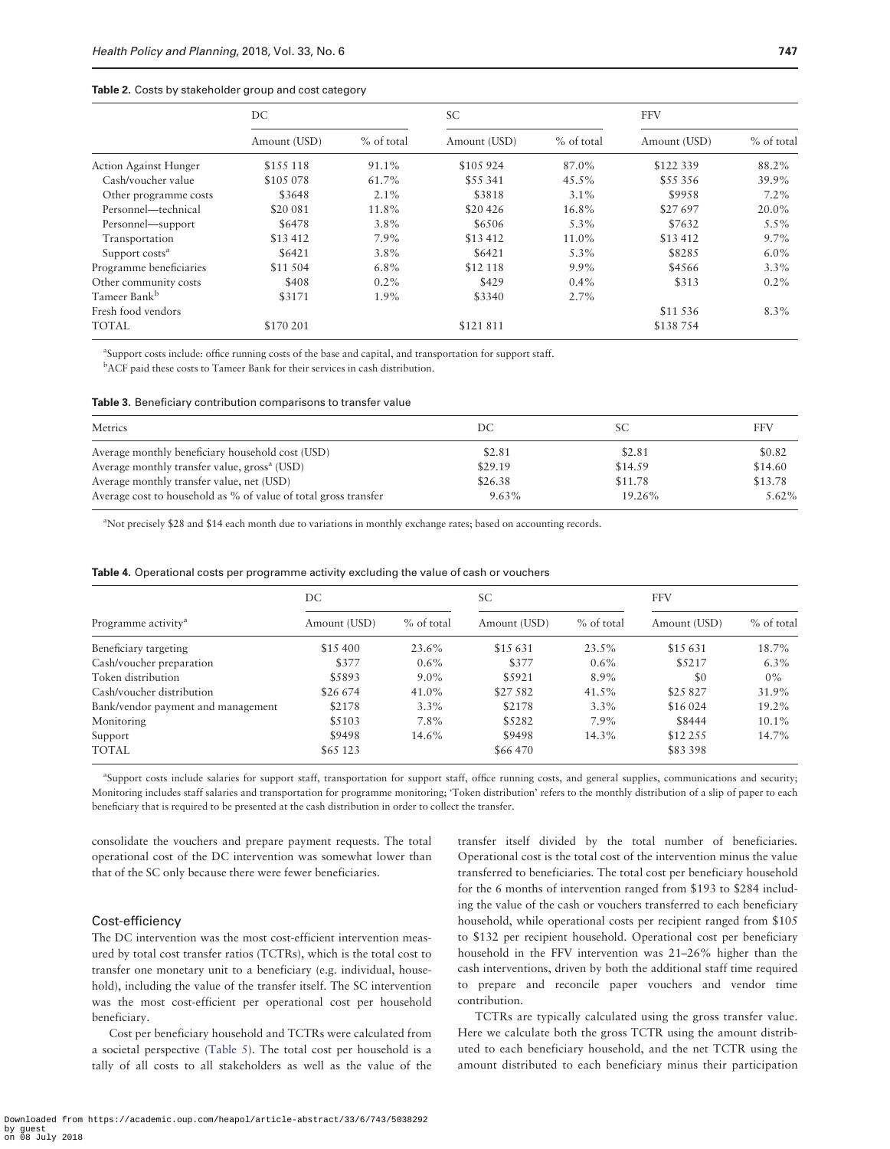### <span id="page-4-0"></span>Table 2. Costs by stakeholder group and cost category

|                              | DC           |            | SC.          |            | <b>FFV</b>   |            |
|------------------------------|--------------|------------|--------------|------------|--------------|------------|
|                              | Amount (USD) | % of total | Amount (USD) | % of total | Amount (USD) | % of total |
| <b>Action Against Hunger</b> | \$155 118    | 91.1%      | \$105 924    | 87.0%      | \$122 339    | 88.2%      |
| Cash/voucher value           | \$105 078    | 61.7%      | \$55 341     | 45.5%      | \$55 356     | 39.9%      |
| Other programme costs        | \$3648       | $2.1\%$    | \$3818       | $3.1\%$    | \$9958       | $7.2\%$    |
| Personnel-technical          | \$20.081     | 11.8%      | \$20426      | $16.8\%$   | \$27697      | $20.0\%$   |
| Personnel—support            | \$6478       | $3.8\%$    | \$6506       | 5.3%       | \$7632       | $5.5\%$    |
| Transportation               | \$13 412     | 7.9%       | \$13 412     | 11.0%      | \$13 412     | 9.7%       |
| Support costs <sup>a</sup>   | \$6421       | $3.8\%$    | \$6421       | 5.3%       | \$8285       | $6.0\%$    |
| Programme beneficiaries      | \$11.504     | $6.8\%$    | \$12 118     | $9.9\%$    | \$4566       | $3.3\%$    |
| Other community costs        | \$408        | $0.2\%$    | \$429        | $0.4\%$    | \$313        | $0.2\%$    |
| Tameer Bank <sup>b</sup>     | \$3171       | $1.9\%$    | \$3340       | $2.7\%$    |              |            |
| Fresh food vendors           |              |            |              |            | \$11 536     | 8.3%       |
| <b>TOTAL</b>                 | \$170 201    |            | \$121 811    |            | \$138754     |            |

<sup>a</sup>Support costs include: office running costs of the base and capital, and transportation for support staff.

<sup>b</sup>ACF paid these costs to Tameer Bank for their services in cash distribution.

### Table 3. Beneficiary contribution comparisons to transfer value

| Metrics                                                         | DС       | SС      | <b>FFV</b> |
|-----------------------------------------------------------------|----------|---------|------------|
| Average monthly beneficiary household cost (USD)                | \$2.81   | \$2.81  | \$0.82     |
| Average monthly transfer value, gross <sup>a</sup> (USD)        | \$29.19  | \$14.59 | \$14.60    |
| Average monthly transfer value, net (USD)                       | \$26.38  | \$11.78 | \$13.78    |
| Average cost to household as % of value of total gross transfer | $9.63\%$ | 19.26%  | 5.62%      |

a Not precisely \$28 and \$14 each month due to variations in monthly exchange rates; based on accounting records.

| <b>Table 4.</b> Operational costs per programme activity excluding the value of cash or vouchers |  |  |  |  |  |  |  |
|--------------------------------------------------------------------------------------------------|--|--|--|--|--|--|--|
|--------------------------------------------------------------------------------------------------|--|--|--|--|--|--|--|

|                                    | DC.          |            | SC           |            | <b>FFV</b>   |            |
|------------------------------------|--------------|------------|--------------|------------|--------------|------------|
| Programme activity <sup>a</sup>    | Amount (USD) | % of total | Amount (USD) | % of total | Amount (USD) | % of total |
| Beneficiary targeting              | \$15 400     | $23.6\%$   | \$15 631     | 23.5%      | \$15 631     | 18.7%      |
| Cash/voucher preparation           | \$377        | $0.6\%$    | \$377        | $0.6\%$    | \$5217       | $6.3\%$    |
| Token distribution                 | \$5893       | $9.0\%$    | \$5921       | $8.9\%$    | \$0          | $0\%$      |
| Cash/voucher distribution          | \$26,674     | 41.0%      | \$27.582     | 41.5%      | \$25 827     | 31.9%      |
| Bank/vendor payment and management | \$2178       | $3.3\%$    | \$2178       | $3.3\%$    | \$16 024     | 19.2%      |
| Monitoring                         | \$5103       | 7.8%       | \$5282       | $7.9\%$    | \$8444       | $10.1\%$   |
| Support                            | \$9498       | 14.6%      | \$9498       | 14.3%      | \$12 255     | 14.7%      |
| <b>TOTAL</b>                       | \$65 123     |            | \$66,470     |            | \$83 398     |            |

a Support costs include salaries for support staff, transportation for support staff, office running costs, and general supplies, communications and security; Monitoring includes staff salaries and transportation for programme monitoring; 'Token distribution' refers to the monthly distribution of a slip of paper to each beneficiary that is required to be presented at the cash distribution in order to collect the transfer.

consolidate the vouchers and prepare payment requests. The total operational cost of the DC intervention was somewhat lower than that of the SC only because there were fewer beneficiaries.

# Cost-efficiency

The DC intervention was the most cost-efficient intervention measured by total cost transfer ratios (TCTRs), which is the total cost to transfer one monetary unit to a beneficiary (e.g. individual, household), including the value of the transfer itself. The SC intervention was the most cost-efficient per operational cost per household beneficiary.

Cost per beneficiary household and TCTRs were calculated from a societal perspective [\(Table 5\)](#page-5-0). The total cost per household is a tally of all costs to all stakeholders as well as the value of the

transfer itself divided by the total number of beneficiaries. Operational cost is the total cost of the intervention minus the value transferred to beneficiaries. The total cost per beneficiary household for the 6 months of intervention ranged from \$193 to \$284 including the value of the cash or vouchers transferred to each beneficiary household, while operational costs per recipient ranged from \$105 to \$132 per recipient household. Operational cost per beneficiary household in the FFV intervention was 21–26% higher than the cash interventions, driven by both the additional staff time required to prepare and reconcile paper vouchers and vendor time contribution.

TCTRs are typically calculated using the gross transfer value. Here we calculate both the gross TCTR using the amount distributed to each beneficiary household, and the net TCTR using the amount distributed to each beneficiary minus their participation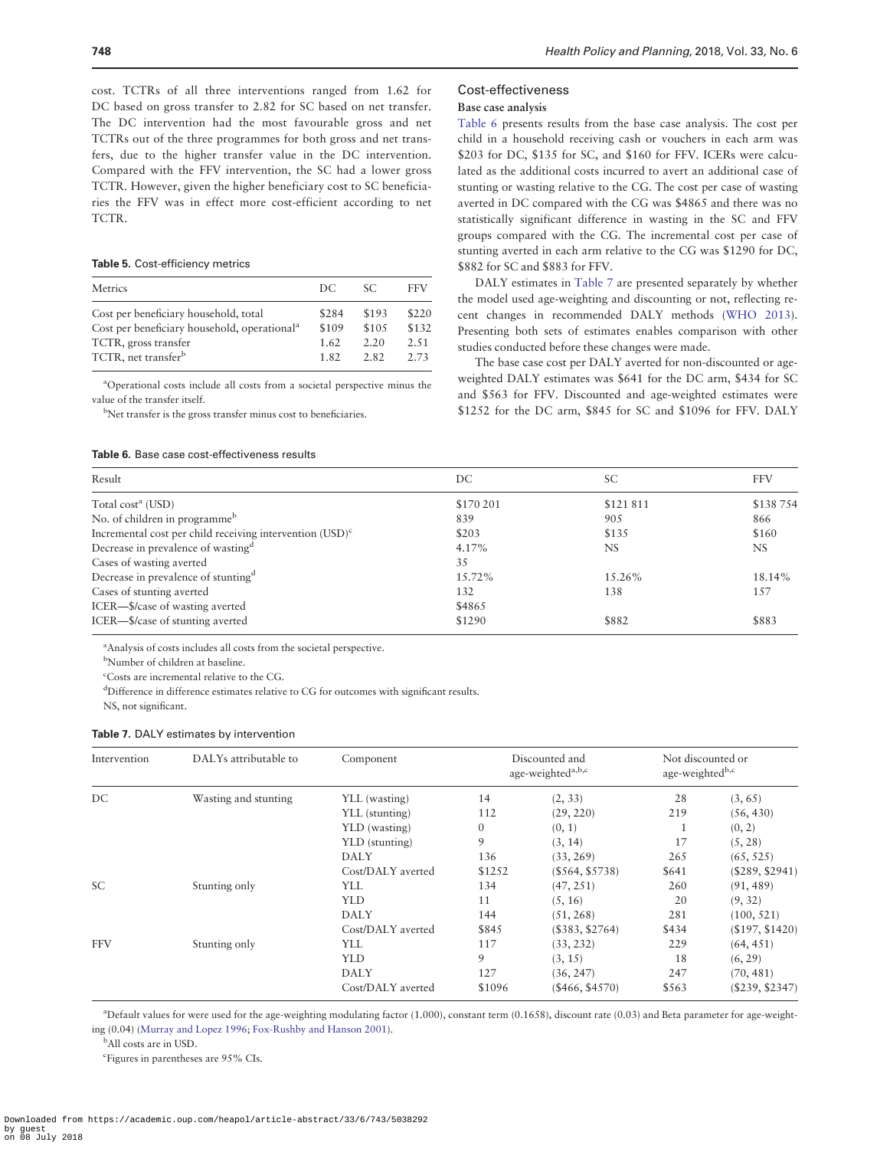<span id="page-5-0"></span>cost. TCTRs of all three interventions ranged from 1.62 for DC based on gross transfer to 2.82 for SC based on net transfer. The DC intervention had the most favourable gross and net TCTRs out of the three programmes for both gross and net transfers, due to the higher transfer value in the DC intervention. Compared with the FFV intervention, the SC had a lower gross TCTR. However, given the higher beneficiary cost to SC beneficiaries the FFV was in effect more cost-efficient according to net TCTR.

### Table 5. Cost-efficiency metrics

| Metrics                                                  | DC.   | SC.   | <b>FFV</b> |
|----------------------------------------------------------|-------|-------|------------|
| Cost per beneficiary household, total                    | \$284 | \$193 | \$220      |
| Cost per beneficiary household, operational <sup>a</sup> | \$109 | \$105 | \$132      |
| TCTR, gross transfer                                     | 1.62  | 2.20  | 2.51       |
| TCTR, net transfer <sup>b</sup>                          | 1.82  | 2.82  | 2.73       |

a Operational costs include all costs from a societal perspective minus the value of the transfer itself.

<sup>b</sup>Net transfer is the gross transfer minus cost to beneficiaries.

#### Table 6. Base case cost-effectiveness results

# Cost-effectiveness

# Base case analysis

Table 6 presents results from the base case analysis. The cost per child in a household receiving cash or vouchers in each arm was \$203 for DC, \$135 for SC, and \$160 for FFV. ICERs were calculated as the additional costs incurred to avert an additional case of stunting or wasting relative to the CG. The cost per case of wasting averted in DC compared with the CG was \$4865 and there was no statistically significant difference in wasting in the SC and FFV groups compared with the CG. The incremental cost per case of stunting averted in each arm relative to the CG was \$1290 for DC, \$882 for SC and \$883 for FFV.

DALY estimates in Table 7 are presented separately by whether the model used age-weighting and discounting or not, reflecting recent changes in recommended DALY methods ([WHO 2013](#page-11-0)). Presenting both sets of estimates enables comparison with other studies conducted before these changes were made.

The base case cost per DALY averted for non-discounted or ageweighted DALY estimates was \$641 for the DC arm, \$434 for SC and \$563 for FFV. Discounted and age-weighted estimates were \$1252 for the DC arm, \$845 for SC and \$1096 for FFV. DALY

| Result                                                               | DC        | SC.       | FFV      |
|----------------------------------------------------------------------|-----------|-----------|----------|
| Total cost <sup>a</sup> (USD)                                        | \$170 201 | \$121 811 | \$138754 |
| No. of children in programme <sup>b</sup>                            | 839       | 90.5      | 866      |
| Incremental cost per child receiving intervention (USD) <sup>c</sup> | \$203     | \$135     | \$160    |
| Decrease in prevalence of wasting <sup>d</sup>                       | 4.17%     | NS        | NS       |
| Cases of wasting averted                                             | 35        |           |          |
| Decrease in prevalence of stunting <sup>d</sup>                      | 15.72%    | 15.26%    | 18.14%   |
| Cases of stunting averted                                            | 132       | 138       | 1.57     |
| ICER-\$/case of wasting averted                                      | \$4865    |           |          |
| ICER-\$/case of stunting averted                                     | \$1290    | \$882     | \$883    |

<sup>a</sup> Analysis of costs includes all costs from the societal perspective.

b Number of children at baseline.

c Costs are incremental relative to the CG.

d Difference in difference estimates relative to CG for outcomes with significant results.

NS, not significant.

### Table 7. DALY estimates by intervention

| Intervention | DALYs attributable to | Component         |              | Discounted and<br>age-weighted <sup>a,b,c</sup> | Not discounted or<br>age-weightedb,c |                 |
|--------------|-----------------------|-------------------|--------------|-------------------------------------------------|--------------------------------------|-----------------|
| DC           | Wasting and stunting  | YLL (wasting)     | 14           | (2, 33)                                         | 28                                   | (3, 65)         |
|              |                       | YLL (stunting)    | 112          | (29, 220)                                       | 219                                  | (56, 430)       |
|              |                       | YLD (wasting)     | $\mathbf{0}$ | (0, 1)                                          | 1                                    | (0, 2)          |
|              |                       | YLD (stunting)    | 9            | (3, 14)                                         | 17                                   | (5, 28)         |
|              |                       | <b>DALY</b>       | 136          | (33, 269)                                       | 265                                  | (65, 525)       |
|              |                       | Cost/DALY averted | \$1252       | (S564, S5738)                                   | \$641                                | (\$289, \$2941) |
| SC.          | Stunting only         | YLL               | 134          | (47, 251)                                       | 260                                  | (91, 489)       |
|              |                       | <b>YLD</b>        | 11           | (5, 16)                                         | 20                                   | (9, 32)         |
|              |                       | <b>DALY</b>       | 144          | (51, 268)                                       | 281                                  | (100, 521)      |
|              |                       | Cost/DALY averted | \$845        | (\$383, \$2764)                                 | \$434                                | (\$197, \$1420) |
| <b>FFV</b>   | Stunting only         | YLL               | 117          | (33, 232)                                       | 229                                  | (64, 451)       |
|              |                       | <b>YLD</b>        | 9            | (3, 15)                                         | 18                                   | (6, 29)         |
|              |                       | <b>DALY</b>       | 127          | (36, 247)                                       | 247                                  | (70, 481)       |
|              |                       | Cost/DALY averted | \$1096       | $($ \$466, \$4570)                              | \$563                                | (\$239, \$2347) |

a Default values for were used for the age-weighting modulating factor (1.000), constant term (0.1658), discount rate (0.03) and Beta parameter for age-weighting (0.04) ([Murray and Lopez 1996](#page-10-0); [Fox-Rushby and Hanson 2001](#page-10-0)).

<sup>b</sup>All costs are in USD.

c Figures in parentheses are 95% CIs.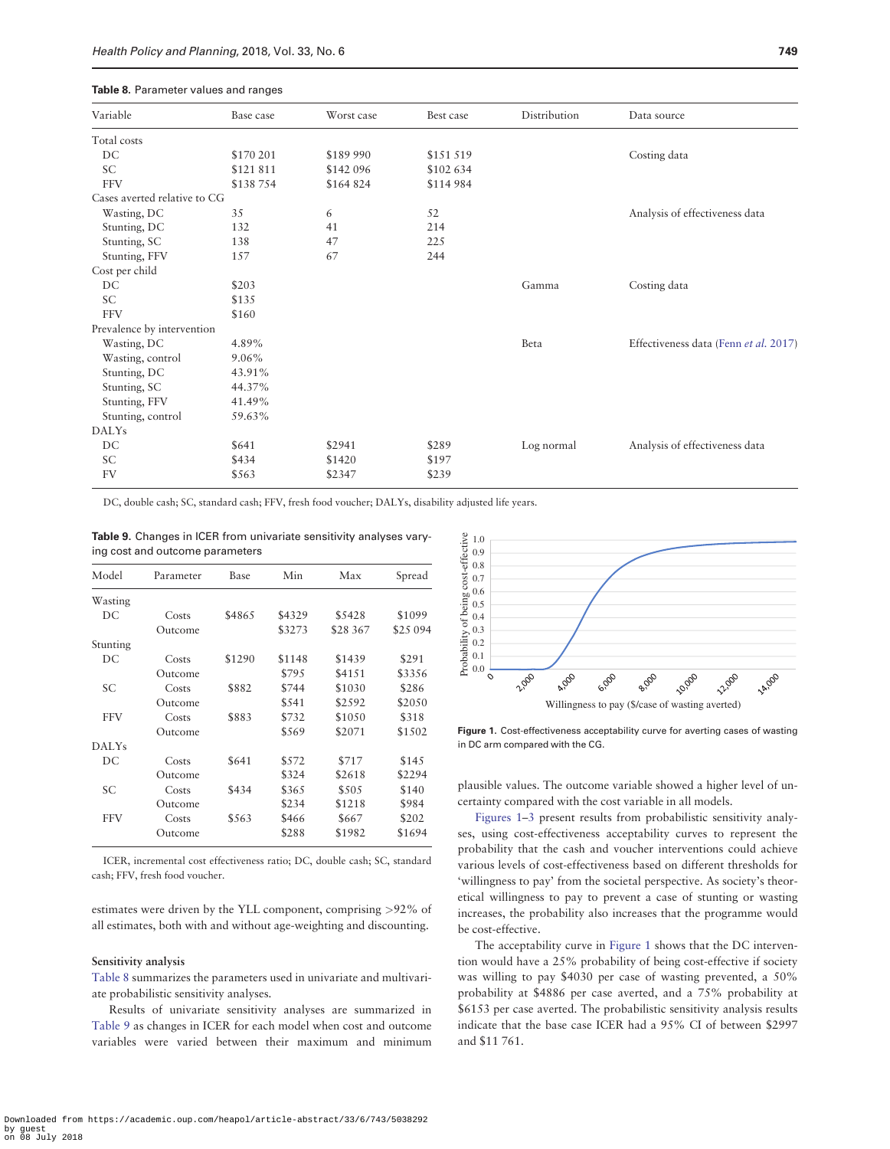| Table 8. Parameter values and ranges |           |            |           |              |                                       |  |  |  |
|--------------------------------------|-----------|------------|-----------|--------------|---------------------------------------|--|--|--|
| Variable                             | Base case | Worst case | Best case | Distribution | Data source                           |  |  |  |
| Total costs                          |           |            |           |              |                                       |  |  |  |
| DC                                   | \$170 201 | \$189 990  | \$151 519 |              | Costing data                          |  |  |  |
| SC                                   | \$121811  | \$142 096  | \$102 634 |              |                                       |  |  |  |
| <b>FFV</b>                           | \$138754  | \$164 824  | \$114984  |              |                                       |  |  |  |
| Cases averted relative to CG         |           |            |           |              |                                       |  |  |  |
| Wasting, DC                          | 35        | 6          | 52        |              | Analysis of effectiveness data        |  |  |  |
| Stunting, DC                         | 132       | 41         | 214       |              |                                       |  |  |  |
| Stunting, SC                         | 138       | 47         | 225       |              |                                       |  |  |  |
| Stunting, FFV                        | 157       | 67         | 244       |              |                                       |  |  |  |
| Cost per child                       |           |            |           |              |                                       |  |  |  |
| DC                                   | \$203     |            |           | Gamma        | Costing data                          |  |  |  |
| SC                                   | \$135     |            |           |              |                                       |  |  |  |
| <b>FFV</b>                           | \$160     |            |           |              |                                       |  |  |  |
| Prevalence by intervention           |           |            |           |              |                                       |  |  |  |
| Wasting, DC                          | 4.89%     |            |           | Beta         | Effectiveness data (Fenn et al. 2017) |  |  |  |
| Wasting, control                     | 9.06%     |            |           |              |                                       |  |  |  |
| Stunting, DC                         | 43.91%    |            |           |              |                                       |  |  |  |
| Stunting, SC                         | 44.37%    |            |           |              |                                       |  |  |  |
| Stunting, FFV                        | 41.49%    |            |           |              |                                       |  |  |  |
| Stunting, control                    | 59.63%    |            |           |              |                                       |  |  |  |
| <b>DALYs</b>                         |           |            |           |              |                                       |  |  |  |
| DC                                   | \$641     | \$2941     | \$289     | Log normal   | Analysis of effectiveness data        |  |  |  |
| SC                                   | \$434     | \$1420     | \$197     |              |                                       |  |  |  |
| <b>FV</b>                            | \$563     | \$2347     | \$239     |              |                                       |  |  |  |
|                                      |           |            |           |              |                                       |  |  |  |

DC, double cash; SC, standard cash; FFV, fresh food voucher; DALYs, disability adjusted life years.

Table 9. Changes in ICER from univariate sensitivity analyses vary-

ing cost and outcome parameters

| Model             | Parameter | Base   | Min    | Max      | Spread   |
|-------------------|-----------|--------|--------|----------|----------|
| Wasting           |           |        |        |          |          |
| DС                | Costs     | \$4865 | \$4329 | \$5428   | \$1099   |
|                   | Outcome   |        | \$3273 | \$28 367 | \$25 094 |
| Stunting          |           |        |        |          |          |
| DС                | Costs     | \$1290 | \$1148 | \$1439   | \$291    |
|                   | Outcome   |        | \$795  | \$4151   | \$3356   |
| SC                | Costs     | \$882  | \$744  | \$1030   | \$286    |
|                   | Outcome   |        | \$541  | \$2592   | \$2050   |
| FFV               | Costs     | \$883  | \$732  | \$1050   | \$318    |
|                   | Outcome   |        | \$569  | \$2071   | \$1502   |
| DALY <sub>s</sub> |           |        |        |          |          |
| DС                | Costs     | \$641  | \$572  | \$717    | \$145    |
|                   | Outcome   |        | \$324  | \$2618   | \$2294   |
| SС                | Costs     | \$434  | \$365  | \$505    | \$140    |
|                   | Outcome   |        | \$234  | \$1218   | \$984    |
| <b>FFV</b>        | Costs     | \$563  | \$466  | \$667    | \$202    |
|                   | Outcome   |        | \$288  | \$1982   | \$1694   |

ICER, incremental cost effectiveness ratio; DC, double cash; SC, standard cash; FFV, fresh food voucher.

estimates were driven by the YLL component, comprising >92% of all estimates, both with and without age-weighting and discounting.

### Sensitivity analysis

Table 8 summarizes the parameters used in univariate and multivariate probabilistic sensitivity analyses.

Results of univariate sensitivity analyses are summarized in Table 9 as changes in ICER for each model when cost and outcome variables were varied between their maximum and minimum



Figure 1. Cost-effectiveness acceptability curve for averting cases of wasting in DC arm compared with the CG.

plausible values. The outcome variable showed a higher level of uncertainty compared with the cost variable in all models.

Figures 1–[3](#page-7-0) present results from probabilistic sensitivity analyses, using cost-effectiveness acceptability curves to represent the probability that the cash and voucher interventions could achieve various levels of cost-effectiveness based on different thresholds for 'willingness to pay' from the societal perspective. As society's theoretical willingness to pay to prevent a case of stunting or wasting increases, the probability also increases that the programme would be cost-effective.

The acceptability curve in Figure 1 shows that the DC intervention would have a 25% probability of being cost-effective if society was willing to pay \$4030 per case of wasting prevented, a 50% probability at \$4886 per case averted, and a 75% probability at \$6153 per case averted. The probabilistic sensitivity analysis results indicate that the base case ICER had a 95% CI of between \$2997 and \$11 761.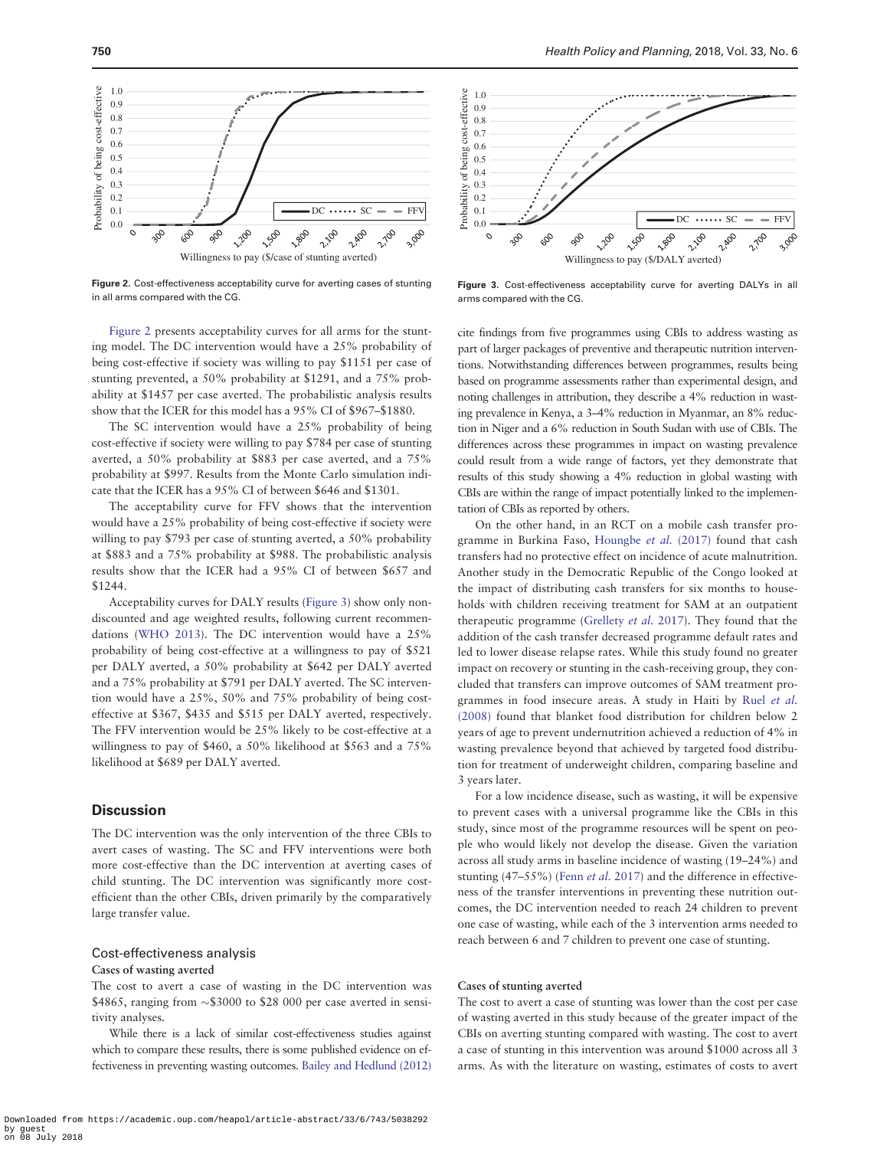<span id="page-7-0"></span>

Figure 2. Cost-effectiveness acceptability curve for averting cases of stunting in all arms compared with the CG.

Figure 2 presents acceptability curves for all arms for the stunting model. The DC intervention would have a 25% probability of being cost-effective if society was willing to pay \$1151 per case of stunting prevented, a 50% probability at \$1291, and a 75% probability at \$1457 per case averted. The probabilistic analysis results show that the ICER for this model has a 95% CI of \$967–\$1880.

The SC intervention would have a 25% probability of being cost-effective if society were willing to pay \$784 per case of stunting averted, a 50% probability at \$883 per case averted, and a 75% probability at \$997. Results from the Monte Carlo simulation indicate that the ICER has a 95% CI of between \$646 and \$1301.

The acceptability curve for FFV shows that the intervention would have a 25% probability of being cost-effective if society were willing to pay \$793 per case of stunting averted, a 50% probability at \$883 and a 75% probability at \$988. The probabilistic analysis results show that the ICER had a 95% CI of between \$657 and \$1244.

Acceptability curves for DALY results (Figure 3) show only nondiscounted and age weighted results, following current recommendations [\(WHO 2013](#page-11-0)). The DC intervention would have a 25% probability of being cost-effective at a willingness to pay of \$521 per DALY averted, a 50% probability at \$642 per DALY averted and a 75% probability at \$791 per DALY averted. The SC intervention would have a 25%, 50% and 75% probability of being costeffective at \$367, \$435 and \$515 per DALY averted, respectively. The FFV intervention would be 25% likely to be cost-effective at a willingness to pay of \$460, a 50% likelihood at \$563 and a 75% likelihood at \$689 per DALY averted.

# **Discussion**

The DC intervention was the only intervention of the three CBIs to avert cases of wasting. The SC and FFV interventions were both more cost-effective than the DC intervention at averting cases of child stunting. The DC intervention was significantly more costefficient than the other CBIs, driven primarily by the comparatively large transfer value.

# Cost-effectiveness analysis

# Cases of wasting averted

The cost to avert a case of wasting in the DC intervention was \$4865, ranging from  $\sim$  \$3000 to \$28 000 per case averted in sensitivity analyses.

While there is a lack of similar cost-effectiveness studies against which to compare these results, there is some published evidence on effectiveness in preventing wasting outcomes. [Bailey and Hedlund \(2012\)](#page-10-0)



Figure 3. Cost-effectiveness acceptability curve for averting DALYs in all arms compared with the CG.

cite findings from five programmes using CBIs to address wasting as part of larger packages of preventive and therapeutic nutrition interventions. Notwithstanding differences between programmes, results being based on programme assessments rather than experimental design, and noting challenges in attribution, they describe a 4% reduction in wasting prevalence in Kenya, a 3–4% reduction in Myanmar, an 8% reduction in Niger and a 6% reduction in South Sudan with use of CBIs. The differences across these programmes in impact on wasting prevalence could result from a wide range of factors, yet they demonstrate that results of this study showing a 4% reduction in global wasting with CBIs are within the range of impact potentially linked to the implementation of CBIs as reported by others.

On the other hand, in an RCT on a mobile cash transfer programme in Burkina Faso, [Houngbe](#page-10-0) et al. (2017) found that cash transfers had no protective effect on incidence of acute malnutrition. Another study in the Democratic Republic of the Congo looked at the impact of distributing cash transfers for six months to households with children receiving treatment for SAM at an outpatient therapeutic programme [\(Grellety](#page-10-0) et al. 2017). They found that the addition of the cash transfer decreased programme default rates and led to lower disease relapse rates. While this study found no greater impact on recovery or stunting in the cash-receiving group, they concluded that transfers can improve outcomes of SAM treatment programmes in food insecure areas. A study in Haiti by Ruel [et al.](#page-11-0) [\(2008\)](#page-11-0) found that blanket food distribution for children below 2 years of age to prevent undernutrition achieved a reduction of 4% in wasting prevalence beyond that achieved by targeted food distribution for treatment of underweight children, comparing baseline and 3 years later.

For a low incidence disease, such as wasting, it will be expensive to prevent cases with a universal programme like the CBIs in this study, since most of the programme resources will be spent on people who would likely not develop the disease. Given the variation across all study arms in baseline incidence of wasting (19–24%) and stunting (47–55%) (Fenn et al. [2017\)](#page-10-0) and the difference in effectiveness of the transfer interventions in preventing these nutrition outcomes, the DC intervention needed to reach 24 children to prevent one case of wasting, while each of the 3 intervention arms needed to reach between 6 and 7 children to prevent one case of stunting.

#### Cases of stunting averted

The cost to avert a case of stunting was lower than the cost per case of wasting averted in this study because of the greater impact of the CBIs on averting stunting compared with wasting. The cost to avert a case of stunting in this intervention was around \$1000 across all 3 arms. As with the literature on wasting, estimates of costs to avert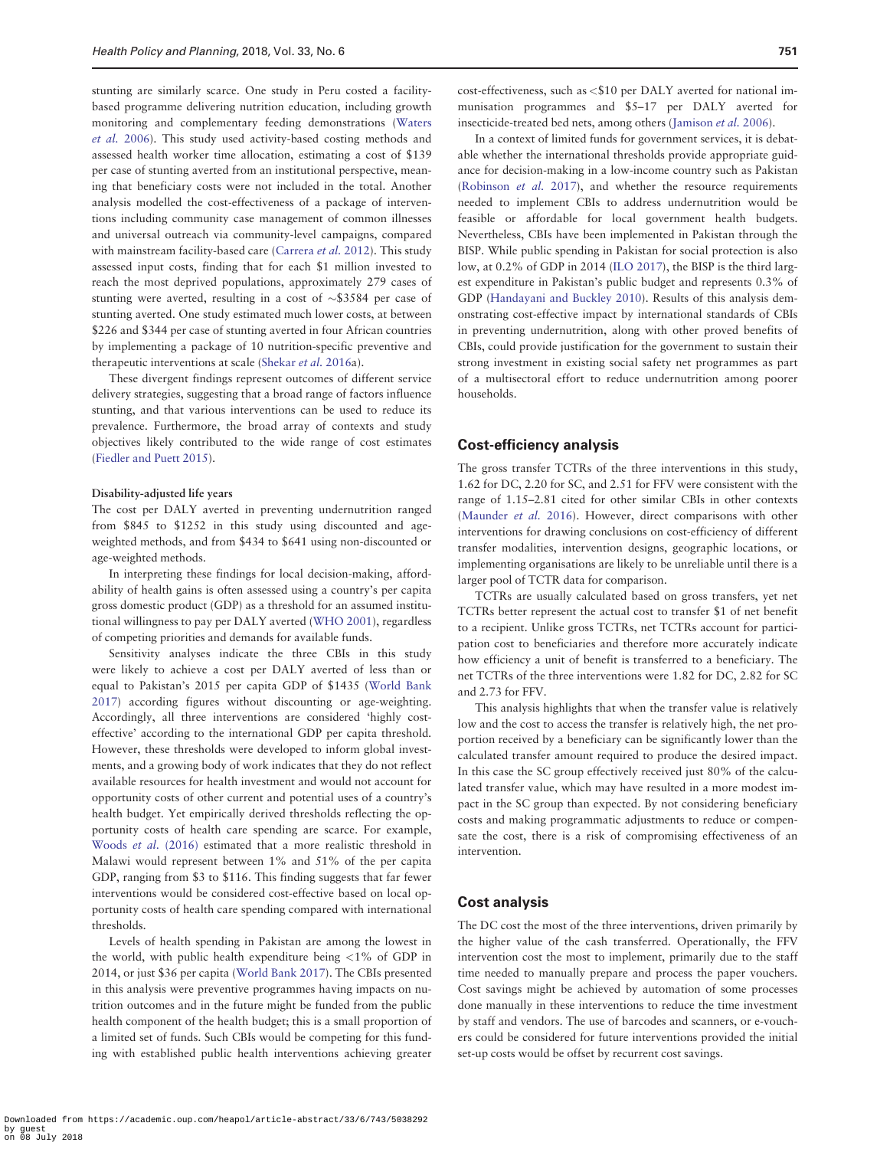stunting are similarly scarce. One study in Peru costed a facilitybased programme delivering nutrition education, including growth monitoring and complementary feeding demonstrations ([Waters](#page-11-0) [et al.](#page-11-0) 2006). This study used activity-based costing methods and assessed health worker time allocation, estimating a cost of \$139 per case of stunting averted from an institutional perspective, meaning that beneficiary costs were not included in the total. Another analysis modelled the cost-effectiveness of a package of interventions including community case management of common illnesses and universal outreach via community-level campaigns, compared with mainstream facility-based care ([Carrera](#page-10-0) et al. 2012). This study assessed input costs, finding that for each \$1 million invested to reach the most deprived populations, approximately 279 cases of stunting were averted, resulting in a cost of  $\sim$ \$3584 per case of stunting averted. One study estimated much lower costs, at between \$226 and \$344 per case of stunting averted in four African countries by implementing a package of 10 nutrition-specific preventive and therapeutic interventions at scale [\(Shekar](#page-11-0) et al. 2016a).

These divergent findings represent outcomes of different service delivery strategies, suggesting that a broad range of factors influence stunting, and that various interventions can be used to reduce its prevalence. Furthermore, the broad array of contexts and study objectives likely contributed to the wide range of cost estimates ([Fiedler and Puett 2015](#page-10-0)).

### Disability-adjusted life years

The cost per DALY averted in preventing undernutrition ranged from \$845 to \$1252 in this study using discounted and ageweighted methods, and from \$434 to \$641 using non-discounted or age-weighted methods.

In interpreting these findings for local decision-making, affordability of health gains is often assessed using a country's per capita gross domestic product (GDP) as a threshold for an assumed institutional willingness to pay per DALY averted [\(WHO 2001](#page-11-0)), regardless of competing priorities and demands for available funds.

Sensitivity analyses indicate the three CBIs in this study were likely to achieve a cost per DALY averted of less than or equal to Pakistan's 2015 per capita GDP of \$1435 ([World Bank](#page-11-0) [2017\)](#page-11-0) according figures without discounting or age-weighting. Accordingly, all three interventions are considered 'highly costeffective' according to the international GDP per capita threshold. However, these thresholds were developed to inform global investments, and a growing body of work indicates that they do not reflect available resources for health investment and would not account for opportunity costs of other current and potential uses of a country's health budget. Yet empirically derived thresholds reflecting the opportunity costs of health care spending are scarce. For example, [Woods](#page-11-0) et al. (2016) estimated that a more realistic threshold in Malawi would represent between 1% and 51% of the per capita GDP, ranging from \$3 to \$116. This finding suggests that far fewer interventions would be considered cost-effective based on local opportunity costs of health care spending compared with international thresholds.

Levels of health spending in Pakistan are among the lowest in the world, with public health expenditure being <1% of GDP in 2014, or just \$36 per capita ([World Bank 2017\)](#page-11-0). The CBIs presented in this analysis were preventive programmes having impacts on nutrition outcomes and in the future might be funded from the public health component of the health budget; this is a small proportion of a limited set of funds. Such CBIs would be competing for this funding with established public health interventions achieving greater cost-effectiveness, such as <\$10 per DALY averted for national immunisation programmes and \$5–17 per DALY averted for insecticide-treated bed nets, among others ([Jamison](#page-10-0) et al. 2006).

In a context of limited funds for government services, it is debatable whether the international thresholds provide appropriate guidance for decision-making in a low-income country such as Pakistan ([Robinson](#page-11-0) et al. 2017), and whether the resource requirements needed to implement CBIs to address undernutrition would be feasible or affordable for local government health budgets. Nevertheless, CBIs have been implemented in Pakistan through the BISP. While public spending in Pakistan for social protection is also low, at 0.2% of GDP in 2014 ([ILO 2017\)](#page-10-0), the BISP is the third largest expenditure in Pakistan's public budget and represents 0.3% of GDP [\(Handayani and Buckley 2010\)](#page-10-0). Results of this analysis demonstrating cost-effective impact by international standards of CBIs in preventing undernutrition, along with other proved benefits of CBIs, could provide justification for the government to sustain their strong investment in existing social safety net programmes as part of a multisectoral effort to reduce undernutrition among poorer households.

# Cost-efficiency analysis

The gross transfer TCTRs of the three interventions in this study, 1.62 for DC, 2.20 for SC, and 2.51 for FFV were consistent with the range of 1.15–2.81 cited for other similar CBIs in other contexts ([Maunder](#page-10-0) et al. 2016). However, direct comparisons with other interventions for drawing conclusions on cost-efficiency of different transfer modalities, intervention designs, geographic locations, or implementing organisations are likely to be unreliable until there is a larger pool of TCTR data for comparison.

TCTRs are usually calculated based on gross transfers, yet net TCTRs better represent the actual cost to transfer \$1 of net benefit to a recipient. Unlike gross TCTRs, net TCTRs account for participation cost to beneficiaries and therefore more accurately indicate how efficiency a unit of benefit is transferred to a beneficiary. The net TCTRs of the three interventions were 1.82 for DC, 2.82 for SC and 2.73 for FFV.

This analysis highlights that when the transfer value is relatively low and the cost to access the transfer is relatively high, the net proportion received by a beneficiary can be significantly lower than the calculated transfer amount required to produce the desired impact. In this case the SC group effectively received just 80% of the calculated transfer value, which may have resulted in a more modest impact in the SC group than expected. By not considering beneficiary costs and making programmatic adjustments to reduce or compensate the cost, there is a risk of compromising effectiveness of an intervention.

# Cost analysis

The DC cost the most of the three interventions, driven primarily by the higher value of the cash transferred. Operationally, the FFV intervention cost the most to implement, primarily due to the staff time needed to manually prepare and process the paper vouchers. Cost savings might be achieved by automation of some processes done manually in these interventions to reduce the time investment by staff and vendors. The use of barcodes and scanners, or e-vouchers could be considered for future interventions provided the initial set-up costs would be offset by recurrent cost savings.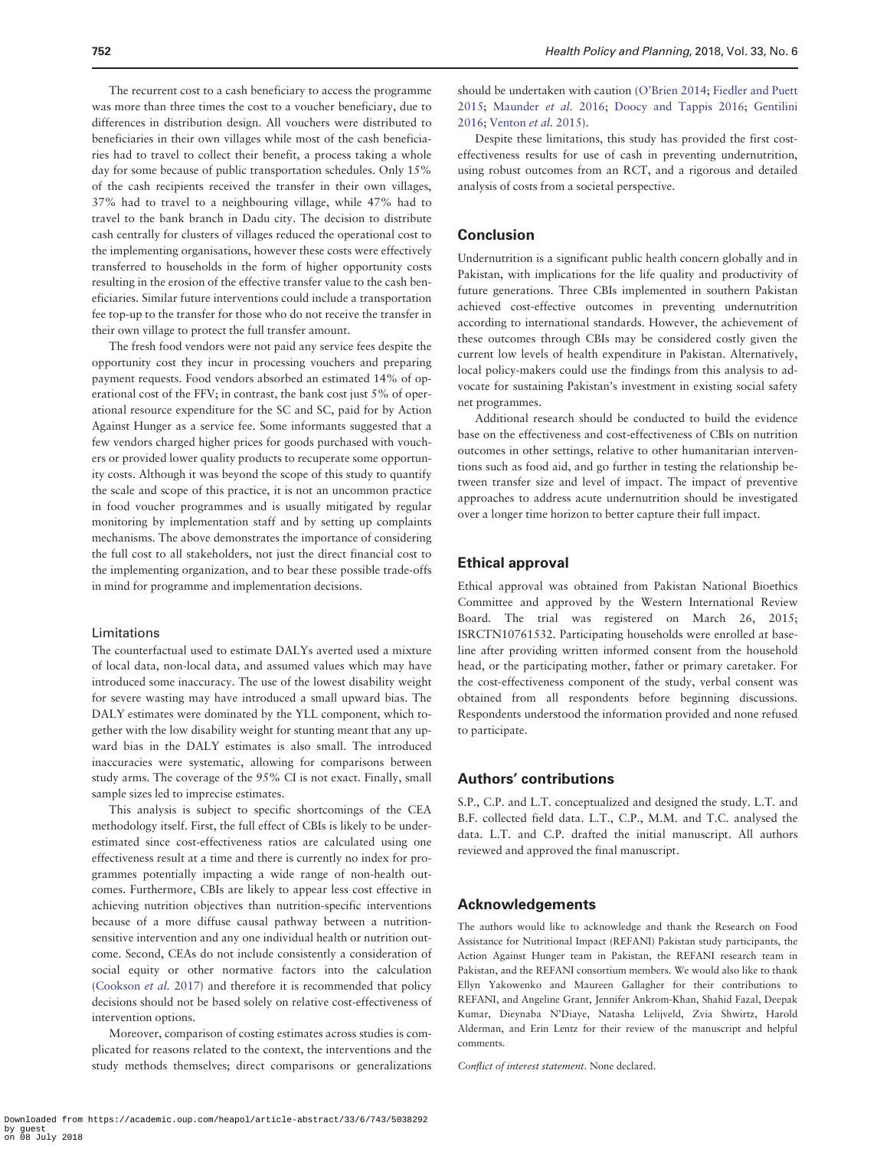The recurrent cost to a cash beneficiary to access the programme was more than three times the cost to a voucher beneficiary, due to differences in distribution design. All vouchers were distributed to beneficiaries in their own villages while most of the cash beneficiaries had to travel to collect their benefit, a process taking a whole day for some because of public transportation schedules. Only 15% of the cash recipients received the transfer in their own villages, 37% had to travel to a neighbouring village, while 47% had to travel to the bank branch in Dadu city. The decision to distribute cash centrally for clusters of villages reduced the operational cost to the implementing organisations, however these costs were effectively transferred to households in the form of higher opportunity costs resulting in the erosion of the effective transfer value to the cash beneficiaries. Similar future interventions could include a transportation fee top-up to the transfer for those who do not receive the transfer in their own village to protect the full transfer amount.

The fresh food vendors were not paid any service fees despite the opportunity cost they incur in processing vouchers and preparing payment requests. Food vendors absorbed an estimated 14% of operational cost of the FFV; in contrast, the bank cost just 5% of operational resource expenditure for the SC and SC, paid for by Action Against Hunger as a service fee. Some informants suggested that a few vendors charged higher prices for goods purchased with vouchers or provided lower quality products to recuperate some opportunity costs. Although it was beyond the scope of this study to quantify the scale and scope of this practice, it is not an uncommon practice in food voucher programmes and is usually mitigated by regular monitoring by implementation staff and by setting up complaints mechanisms. The above demonstrates the importance of considering the full cost to all stakeholders, not just the direct financial cost to the implementing organization, and to bear these possible trade-offs in mind for programme and implementation decisions.

# Limitations

The counterfactual used to estimate DALYs averted used a mixture of local data, non-local data, and assumed values which may have introduced some inaccuracy. The use of the lowest disability weight for severe wasting may have introduced a small upward bias. The DALY estimates were dominated by the YLL component, which together with the low disability weight for stunting meant that any upward bias in the DALY estimates is also small. The introduced inaccuracies were systematic, allowing for comparisons between study arms. The coverage of the 95% CI is not exact. Finally, small sample sizes led to imprecise estimates.

This analysis is subject to specific shortcomings of the CEA methodology itself. First, the full effect of CBIs is likely to be underestimated since cost-effectiveness ratios are calculated using one effectiveness result at a time and there is currently no index for programmes potentially impacting a wide range of non-health outcomes. Furthermore, CBIs are likely to appear less cost effective in achieving nutrition objectives than nutrition-specific interventions because of a more diffuse causal pathway between a nutritionsensitive intervention and any one individual health or nutrition outcome. Second, CEAs do not include consistently a consideration of social equity or other normative factors into the calculation ([Cookson](#page-10-0) et al. 2017) and therefore it is recommended that policy decisions should not be based solely on relative cost-effectiveness of intervention options.

Moreover, comparison of costing estimates across studies is complicated for reasons related to the context, the interventions and the study methods themselves; direct comparisons or generalizations

should be undertaken with caution ([O'Brien 2014](#page-10-0); [Fiedler and Puett](#page-10-0) [2015;](#page-10-0) [Maunder](#page-10-0) et al. 2016; [Doocy and Tappis 2016](#page-10-0); [Gentilini](#page-10-0) [2016;](#page-10-0) [Venton](#page-11-0) et al. 2015).

Despite these limitations, this study has provided the first costeffectiveness results for use of cash in preventing undernutrition, using robust outcomes from an RCT, and a rigorous and detailed analysis of costs from a societal perspective.

# Conclusion

Undernutrition is a significant public health concern globally and in Pakistan, with implications for the life quality and productivity of future generations. Three CBIs implemented in southern Pakistan achieved cost-effective outcomes in preventing undernutrition according to international standards. However, the achievement of these outcomes through CBIs may be considered costly given the current low levels of health expenditure in Pakistan. Alternatively, local policy-makers could use the findings from this analysis to advocate for sustaining Pakistan's investment in existing social safety net programmes.

Additional research should be conducted to build the evidence base on the effectiveness and cost-effectiveness of CBIs on nutrition outcomes in other settings, relative to other humanitarian interventions such as food aid, and go further in testing the relationship between transfer size and level of impact. The impact of preventive approaches to address acute undernutrition should be investigated over a longer time horizon to better capture their full impact.

# Ethical approval

Ethical approval was obtained from Pakistan National Bioethics Committee and approved by the Western International Review Board. The trial was registered on March 26, 2015; ISRCTN10761532. Participating households were enrolled at baseline after providing written informed consent from the household head, or the participating mother, father or primary caretaker. For the cost-effectiveness component of the study, verbal consent was obtained from all respondents before beginning discussions. Respondents understood the information provided and none refused to participate.

# Authors' contributions

S.P., C.P. and L.T. conceptualized and designed the study. L.T. and B.F. collected field data. L.T., C.P., M.M. and T.C. analysed the data. L.T. and C.P. drafted the initial manuscript. All authors reviewed and approved the final manuscript.

# Acknowledgements

The authors would like to acknowledge and thank the Research on Food Assistance for Nutritional Impact (REFANI) Pakistan study participants, the Action Against Hunger team in Pakistan, the REFANI research team in Pakistan, and the REFANI consortium members. We would also like to thank Ellyn Yakowenko and Maureen Gallagher for their contributions to REFANI, and Angeline Grant, Jennifer Ankrom-Khan, Shahid Fazal, Deepak Kumar, Dieynaba N'Diaye, Natasha Lelijveld, Zvia Shwirtz, Harold Alderman, and Erin Lentz for their review of the manuscript and helpful comments.

Conflict of interest statement. None declared.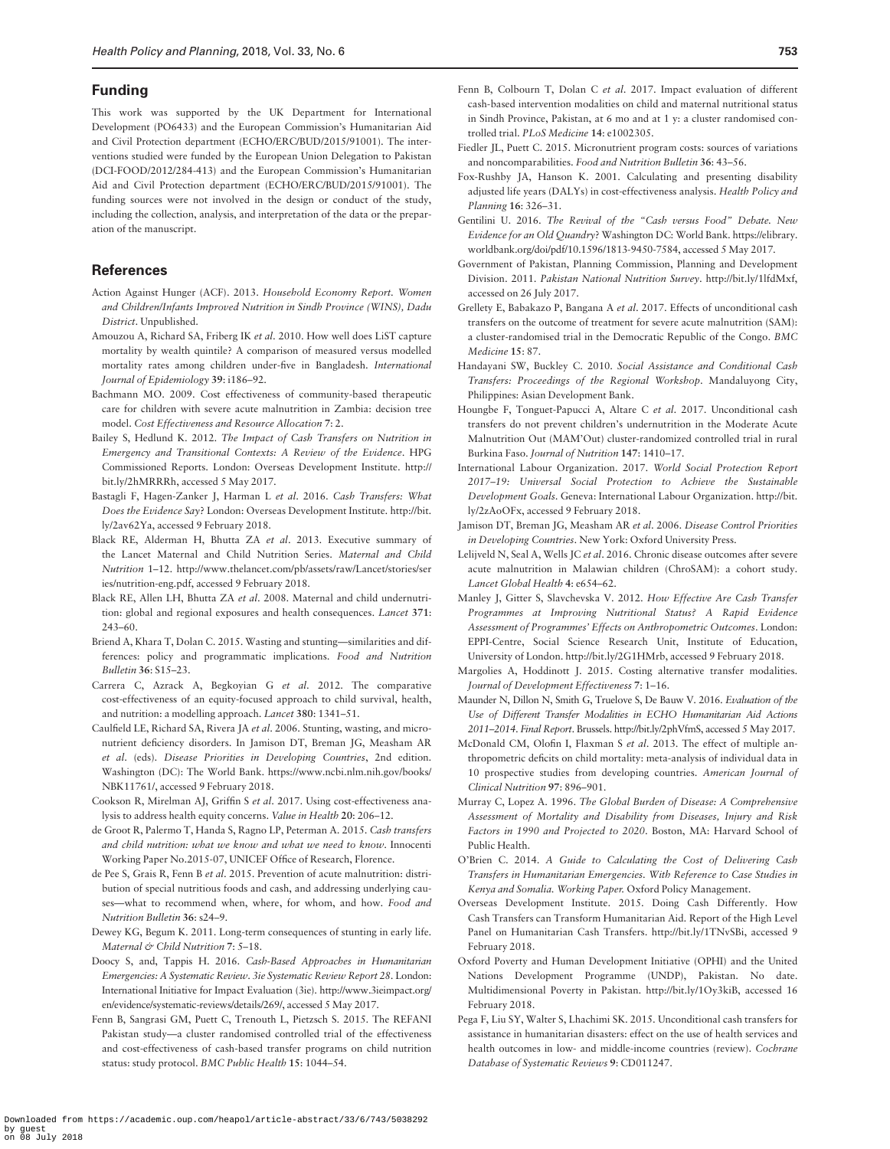### <span id="page-10-0"></span>Funding

This work was supported by the UK Department for International Development (PO6433) and the European Commission's Humanitarian Aid and Civil Protection department (ECHO/ERC/BUD/2015/91001). The interventions studied were funded by the European Union Delegation to Pakistan (DCI-FOOD/2012/284-413) and the European Commission's Humanitarian Aid and Civil Protection department (ECHO/ERC/BUD/2015/91001). The funding sources were not involved in the design or conduct of the study, including the collection, analysis, and interpretation of the data or the preparation of the manuscript.

### References

- Action Against Hunger (ACF). 2013. Household Economy Report. Women and Children/Infants Improved Nutrition in Sindh Province (WINS), Dadu District. Unpublished.
- Amouzou A, Richard SA, Friberg IK et al. 2010. How well does LiST capture mortality by wealth quintile? A comparison of measured versus modelled mortality rates among children under-five in Bangladesh. International Journal of Epidemiology 39: i186–92.
- Bachmann MO. 2009. Cost effectiveness of community-based therapeutic care for children with severe acute malnutrition in Zambia: decision tree model. Cost Effectiveness and Resource Allocation 7: 2.
- Bailey S, Hedlund K. 2012. The Impact of Cash Transfers on Nutrition in Emergency and Transitional Contexts: A Review of the Evidence. HPG Commissioned Reports. London: Overseas Development Institute. [http://](http://bit.ly/2hMRRRh) [bit.ly/2hMRRRh](http://bit.ly/2hMRRRh), accessed 5 May 2017.
- Bastagli F, Hagen-Zanker J, Harman L et al. 2016. Cash Transfers: What Does the Evidence Say? London: Overseas Development Institute. [http://bit.](http://bit.ly/2av62Ya) [ly/2av62Ya,](http://bit.ly/2av62Ya) accessed 9 February 2018.
- Black RE, Alderman H, Bhutta ZA et al. 2013. Executive summary of the Lancet Maternal and Child Nutrition Series. Maternal and Child Nutrition 1–12. [http://www.thelancet.com/pb/assets/raw/Lancet/stories/ser](http://www.thelancet.com/pb/assets/raw/Lancet/stories/series/nutrition-eng.pdf) [ies/nutrition-eng.pdf,](http://www.thelancet.com/pb/assets/raw/Lancet/stories/series/nutrition-eng.pdf) accessed 9 February 2018.
- Black RE, Allen LH, Bhutta ZA et al. 2008. Maternal and child undernutrition: global and regional exposures and health consequences. Lancet 371: 243–60.
- Briend A, Khara T, Dolan C. 2015. Wasting and stunting—similarities and differences: policy and programmatic implications. Food and Nutrition Bulletin 36: S15–23.
- Carrera C, Azrack A, Begkoyian G et al. 2012. The comparative cost-effectiveness of an equity-focused approach to child survival, health, and nutrition: a modelling approach. Lancet 380: 1341–51.
- Caulfield LE, Richard SA, Rivera JA et al. 2006. Stunting, wasting, and micronutrient deficiency disorders. In Jamison DT, Breman JG, Measham AR et al. (eds). Disease Priorities in Developing Countries, 2nd edition. Washington (DC): The World Bank. [https://www.ncbi.nlm.nih.gov/books/](https://www.ncbi.nlm.nih.gov/books/NBK11761/) [NBK11761/,](https://www.ncbi.nlm.nih.gov/books/NBK11761/) accessed 9 February 2018.
- Cookson R, Mirelman AJ, Griffin S et al. 2017. Using cost-effectiveness analysis to address health equity concerns. Value in Health 20: 206–12.
- de Groot R, Palermo T, Handa S, Ragno LP, Peterman A. 2015. Cash transfers and child nutrition: what we know and what we need to know. Innocenti Working Paper No.2015-07, UNICEF Office of Research, Florence.
- de Pee S, Grais R, Fenn B et al. 2015. Prevention of acute malnutrition: distribution of special nutritious foods and cash, and addressing underlying cau--what to recommend when, where, for whom, and how. Food and Nutrition Bulletin 36: s24–9.
- Dewey KG, Begum K. 2011. Long-term consequences of stunting in early life. Maternal & Child Nutrition 7: 5-18.
- Doocy S, and, Tappis H. 2016. Cash-Based Approaches in Humanitarian Emergencies: A Systematic Review. 3ie Systematic Review Report 28. London: International Initiative for Impact Evaluation (3ie). [http://www.3ieimpact.org/](http://www.3ieimpact.org/en/evidence/systematic-reviews/details/269/) [en/evidence/systematic-reviews/details/269/](http://www.3ieimpact.org/en/evidence/systematic-reviews/details/269/), accessed 5 May 2017.
- Fenn B, Sangrasi GM, Puett C, Trenouth L, Pietzsch S. 2015. The REFANI Pakistan study—a cluster randomised controlled trial of the effectiveness and cost-effectiveness of cash-based transfer programs on child nutrition status: study protocol. BMC Public Health 15: 1044–54.
- Fenn B, Colbourn T, Dolan C et al. 2017. Impact evaluation of different cash-based intervention modalities on child and maternal nutritional status in Sindh Province, Pakistan, at 6 mo and at 1 y: a cluster randomised controlled trial. PLoS Medicine 14: e1002305.
- Fiedler JL, Puett C. 2015. Micronutrient program costs: sources of variations and noncomparabilities. Food and Nutrition Bulletin 36: 43–56.
- Fox-Rushby JA, Hanson K. 2001. Calculating and presenting disability adjusted life years (DALYs) in cost-effectiveness analysis. Health Policy and Planning 16: 326–31.
- Gentilini U. 2016. The Revival of the "Cash versus Food" Debate. New Evidence for an Old Quandry? Washington DC: World Bank. [https://elibrary.](https://elibrary.worldbank.org/doi/pdf/10.1596/1813-9450-7584) [worldbank.org/doi/pdf/10.1596/1813-9450-7584,](https://elibrary.worldbank.org/doi/pdf/10.1596/1813-9450-7584) accessed 5 May 2017.
- Government of Pakistan, Planning Commission, Planning and Development Division. 2011. Pakistan National Nutrition Survey.<http://bit.ly/1lfdMxf>, accessed on 26 July 2017.
- Grellety E, Babakazo P, Bangana A et al. 2017. Effects of unconditional cash transfers on the outcome of treatment for severe acute malnutrition (SAM): a cluster-randomised trial in the Democratic Republic of the Congo. BMC Medicine 15: 87.
- Handayani SW, Buckley C. 2010. Social Assistance and Conditional Cash Transfers: Proceedings of the Regional Workshop. Mandaluyong City, Philippines: Asian Development Bank.
- Houngbe F, Tonguet-Papucci A, Altare C et al. 2017. Unconditional cash transfers do not prevent children's undernutrition in the Moderate Acute Malnutrition Out (MAM'Out) cluster-randomized controlled trial in rural Burkina Faso. Journal of Nutrition 147: 1410–17.
- International Labour Organization. 2017. World Social Protection Report 2017–19: Universal Social Protection to Achieve the Sustainable Development Goals. Geneva: International Labour Organization. [http://bit.](http://bit.ly/2zAoOFx) [ly/2zAoOFx](http://bit.ly/2zAoOFx), accessed 9 February 2018.
- Jamison DT, Breman JG, Measham AR et al. 2006. Disease Control Priorities in Developing Countries. New York: Oxford University Press.
- Lelijveld N, Seal A, Wells JC et al. 2016. Chronic disease outcomes after severe acute malnutrition in Malawian children (ChroSAM): a cohort study. Lancet Global Health 4: e654–62.
- Manley J, Gitter S, Slavchevska V. 2012. How Effective Are Cash Transfer Programmes at Improving Nutritional Status? A Rapid Evidence Assessment of Programmes' Effects on Anthropometric Outcomes. London: EPPI-Centre, Social Science Research Unit, Institute of Education, University of London. [http://bit.ly/2G1HMrb,](http://bit.ly/2G1HMrb) accessed 9 February 2018.
- Margolies A, Hoddinott J. 2015. Costing alternative transfer modalities. Journal of Development Effectiveness 7: 1–16.
- Maunder N, Dillon N, Smith G, Truelove S, De Bauw V. 2016. Evaluation of the Use of Different Transfer Modalities in ECHO Humanitarian Aid Actions 2011–2014. Final Report. Brussels.<http://bit.ly/2phVfmS>, accessed 5 May 2017.
- McDonald CM, Olofin I, Flaxman S et al. 2013. The effect of multiple anthropometric deficits on child mortality: meta-analysis of individual data in 10 prospective studies from developing countries. American Journal of Clinical Nutrition 97: 896–901.
- Murray C, Lopez A. 1996. The Global Burden of Disease: A Comprehensive Assessment of Mortality and Disability from Diseases, Injury and Risk Factors in 1990 and Projected to 2020. Boston, MA: Harvard School of Public Health.
- O'Brien C. 2014. A Guide to Calculating the Cost of Delivering Cash Transfers in Humanitarian Emergencies. With Reference to Case Studies in Kenya and Somalia. Working Paper. Oxford Policy Management.
- Overseas Development Institute. 2015. Doing Cash Differently. How Cash Transfers can Transform Humanitarian Aid. Report of the High Level Panel on Humanitarian Cash Transfers.<http://bit.ly/1TNvSBi>, accessed 9 February 2018.
- Oxford Poverty and Human Development Initiative (OPHI) and the United Nations Development Programme (UNDP), Pakistan. No date. Multidimensional Poverty in Pakistan. [http://bit.ly/1Oy3kiB,](http://bit.ly/1Oy3kiB) accessed 16 February 2018.
- Pega F, Liu SY, Walter S, Lhachimi SK. 2015. Unconditional cash transfers for assistance in humanitarian disasters: effect on the use of health services and health outcomes in low- and middle-income countries (review). Cochrane Database of Systematic Reviews 9: CD011247.